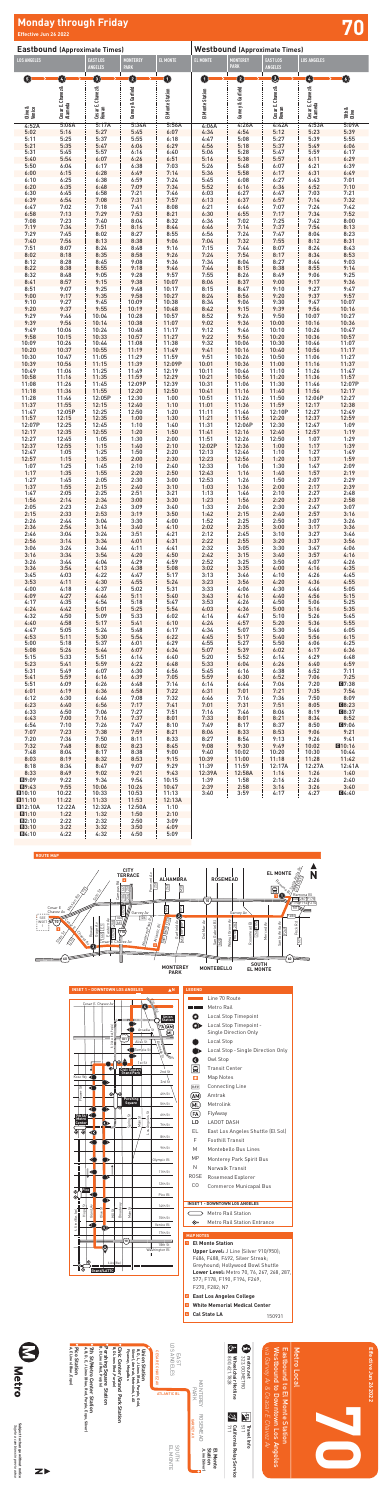| <b>Eastbound (Approximate Times)</b> |                              |                                   |                                | <b>Westbound (Approximate Times)</b> |                  |                                |                                   |                              |                                |
|--------------------------------------|------------------------------|-----------------------------------|--------------------------------|--------------------------------------|------------------|--------------------------------|-----------------------------------|------------------------------|--------------------------------|
| <b>LOS ANGELES</b>                   |                              | <b>EAST LOS</b><br><b>ANGELES</b> | <b>MONTEREY</b><br><b>PARK</b> | <b>EL MONTE</b>                      | EL MONTE         | <b>MONTEREY</b><br><b>PARK</b> | <b>EAST LOS</b><br><b>ANGELES</b> | <b>LOS ANGELES</b>           |                                |
| ❺                                    | $\bullet$                    | 0                                 | 3                              | $\mathbf 0$                          | $\bf{O}$         | 0                              | 0                                 | Ø                            | 0                              |
|                                      | Cesar E. Chavez &<br>Alameda | Cesar E. Chavez &<br>Rowan        |                                |                                      |                  |                                | Cesar E. Chavez &<br>Rowan        | Cesar E. Chavez &<br>Alameda |                                |
|                                      |                              |                                   |                                |                                      |                  |                                |                                   |                              |                                |
| Olive &<br>Venice                    |                              |                                   | Garvey & Garfield              | El Monte Station                     | El Monte Station | Garvey & Garfield              |                                   |                              | 18th &<br>Olive                |
| 4:52A                                | 5:06A                        | 5:17A                             | 5:34A                          | 5:56A                                | 4:06A            | 4:26A                          | 4:42A                             | 4:53A                        | 5:09A                          |
| 5:02<br>5:11                         | 5:16<br>5:25                 | 5:27<br>5:37                      | 5:45<br>5:55                   | 6:07<br>6:18                         | 4:34<br>4:47     | 4:54<br>5:08                   | 5:12<br>5:27                      | 5:23<br>5:39                 | 5:39<br>5:55                   |
| 5:21<br>5:31                         | 5:35<br>5:45                 | 5:47<br>5:57                      | 6:06                           | 6:29                                 | 4:56             | 5:18<br>5:28                   | 5:37<br>5:47                      | 5:49<br>5:59                 | 6:06                           |
| 5:40                                 | 5:54                         | 6:07                              | 6:16<br>6:26                   | 6:40<br>6:51                         | 5:06<br>5:16     | 5:38                           | 5:57                              | 6:11                         | 6:17<br>6:29                   |
| 5:50<br>6:00                         | 6:04<br>6:15                 | 6:17<br>6:28                      | 6:38<br>6:49                   | 7:03<br>7:14                         | 5:26<br>5:36     | 5:48<br>5:58                   | 6:07<br>6:17                      | 6:21<br>6:31                 | 6:39<br>6:49                   |
| 6:10                                 | 6:25                         | 6:38                              | 6:59                           | 7:24                                 | 5:45             | 6:08                           | 6:27                              | 6:43                         | 7:01                           |
| 6:20<br>6:30                         | 6:35<br>6:45                 | 6:48<br>6:58                      | 7:09<br>7:21                   | 7:34<br>7:46                         | 5:52<br>6:03     | 6:16<br>6:27                   | 6:36<br>6:47                      | 6:52<br>7:03                 | 7:10<br>7:21                   |
| 6:39<br>6:47                         | 6:54<br>7:02                 | 7:08<br>7:18                      | 7:31<br>7:41                   | 7:57<br>8:08                         | 6:13<br>6:21     | 6:37<br>6:46                   | 6:57<br>7:07                      | 7:14<br>7:24                 | 7:32<br>7:42                   |
| 6:58                                 | 7:13                         | 7:29                              | 7:53                           | 8:21                                 | 6:30             | 6:55                           | 7:17                              | 7:34                         | 7:52                           |
| 7:08<br>7:19                         | 7:23<br>7:34                 | 7:40<br>7:51                      | 8:04<br>8:16                   | 8:32<br>8:44                         | 6:36<br>6:46     | 7:02<br>7:14                   | 7:25<br>7:37                      | 7:42<br>7:54                 | 8:00<br>8:13                   |
| 7:29                                 | 7:45                         | 8:02                              | 8:27                           | 8:55                                 | 6:56             | 7:24<br>7:32                   | 7:47                              | 8:04                         | 8:23                           |
| 7:40<br>7:51                         | 7:56<br>8:07                 | 8:13<br>8:24                      | 8:38<br>8:48                   | 9:06<br>9:16                         | 7:04<br>7:15     | 7:44                           | 7:55<br>8:07                      | 8:12<br>8:24                 | 8:31<br>8:43                   |
| 8:02<br>8:12                         | 8:18<br>8:28                 | 8:35<br>8:45                      | 8:58<br>9:08                   | 9:26<br>9:36                         | 7:24<br>7:34     | 7:54<br>8:04                   | 8:17<br>8:27                      | 8:34<br>8:44                 | 8:53<br>9:03                   |
| 8:22                                 | 8:38                         | 8:55                              | 9:18                           | 9:46                                 | 7:44             | 8:15                           | 8:38                              | 8:55                         | 9:14                           |
| 8:32<br>8:41                         | 8:48<br>8:57                 | 9:05<br>9:15                      | 9:28<br>9:38                   | 9:57<br>10:07                        | 7:55<br>8:06     | 8:26<br>8:37                   | 8:49<br>9:00                      | 9:06<br>9:17                 | 9:25<br>9:36                   |
| 8:51                                 | 9:07                         | 9:25                              | 9:48                           | 10:17                                | 8:15             | 8:47                           | 9:10                              | 9:27                         | 9:47                           |
| 9:00<br>9:10                         | 9:17<br>9:27                 | 9:35<br>9:45                      | 9:58<br>10:09                  | 10:27<br>10:38                       | 8:24<br>8:34     | 8:56<br>9:06                   | 9:20<br>9:30                      | 9:37<br>9:47                 | 9:57<br>10:07                  |
| 9:20<br>9:29                         | 9:37<br>9:46                 | 9:55<br>10:04                     | 10:19<br>10:28                 | 10:48<br>10:57                       | 8:42<br>8:52     | 9:15<br>9:26                   | 9:39<br>9:50                      | 9:56<br>10:07                | 10:16<br>10:27                 |
| 9:39                                 | 9:56                         | 10:14                             | 10:38                          | 11:07                                | 9:02             | 9:36                           | 10:00                             | 10:16                        | 10:36                          |
| 9:49<br>9:58                         | 10:06<br>10:15               | 10:24<br>10:33                    | 10:48<br>10:57                 | 11:17<br>11:27                       | 9:12<br>9:22     | 9:46<br>9:56                   | 10:10<br>10:20                    | 10:26<br>10:36               | 10:47<br>10:57                 |
| 10:09                                | 10:26                        | 10:44                             | 11:08                          | 11:38                                | 9:32             | 10:06                          | 10:30                             | 10:46                        | 11:07                          |
| 10:20<br>10:30                       | 10:37<br>10:47               | 10:55<br>11:05                    | 11:19<br>11:29                 | 11:49<br>11:59                       | 9:41<br>9:51     | 10:16<br>10:26                 | 10:40<br>10:50                    | 10:56<br>11:06               | 11:17<br>11:27                 |
| 10:39<br>10:49                       | 10:56<br>11:06               | 11:15<br>11:25                    | 11:39<br>11:49                 | 12:09P<br>12:19                      | 10:01<br>10:11   | 10:36<br>10:46                 | 11:00<br>11:10                    | 11:16<br>11:26               | 11:37<br>11:47                 |
| 10:58                                | 11:16                        | 11:35                             | 11:59                          | 12:29                                | 10:21            | 10:56                          | 11:20                             | 11:36                        | 11:57                          |
| 11:08<br>11:18                       | 11:26<br>11:36               | 11:45<br>11:55                    | 12:09P<br>12:20                | 12:39<br>12:50                       | 10:31<br>10:41   | 11:06<br>11:16                 | 11:30<br>11:40                    | 11:46<br>11:56               | 12:07P<br>12:17                |
| 11:28                                | 11:46                        | 12:05P                            | 12:30                          | 1:00                                 | 10:51            | 11:26                          | 11:50                             | 12:06P                       | 12:27                          |
| 11:37<br>11:47                       | 11:55<br>12:05P              | 12:15<br>12:25                    | 12:40<br>12:50                 | 1:10<br>1:20                         | 11:01<br>11:11   | 11:36<br>11:46                 | 11:59<br>12:10P                   | 12:17<br>12:27               | 12:38<br>12:49                 |
| 11:57<br>12:07P                      | 12:15<br>12:25               | $12:35$ 1:00<br>12:45             | 1:10                           | 1:30<br>1:40                         | 11:21<br>11:31   | 11:56<br>12:06P                | 12:20<br>12:30                    | 12:37<br>12:47               | 12:59<br>1:09                  |
| 12:17                                | 12:35                        | 12:55                             | 1:20                           | 1:50                                 |                  | $11:41$ 12:16                  | 12:40                             | 12:57                        | 1:19                           |
| 12:27<br>12:37                       | 12:45<br>12:55               | 1:05<br>1:15                      | 1:30<br>1:40                   | 2:00<br>2:10                         | 11:51            | 12:26<br>12:02P 12:36          | 12:50<br>1:00                     | 1:07<br>1:17                 | 1:29<br>1:39                   |
| 12:47                                | 1:05                         | 1:25<br>1:35                      | 1:50<br>2:00                   | 2:20<br>2:30                         | 12:13            | 12:46<br>$12:23$ 12:56         | 1:10<br>1:20                      | 1:27                         | 1:49<br>1:59                   |
| 12:57<br>1:07                        | 1:15<br>1:25                 | 1:45                              | 2:10                           | 2:40                                 | 12:33            | 1:06                           | 1:30                              | 1:37<br>1:47                 | 2:09                           |
| 1:17<br>1:27                         | 1:35<br>1:45                 | 1:55<br>2:05                      | 2:20<br>2:30                   | 2:50<br>3:00                         | 12:43<br>12:53   | 1:16<br>1:26                   | 1:40<br>1:50                      | 1:57<br>2:07                 | 2:19<br>2:29                   |
| 1:37                                 | 1:55                         | 2:15                              | 2:40                           | 3:10                                 | 1:03             | 1:36                           | 2:00                              | 2:17                         | 2:39                           |
| 1:47<br>1:56                         | 2:05<br>2:14                 | 2:25<br>2:34                      | 2:51<br>3:00                   | 3:21<br>3:30                         | 1:13<br>1:23     | 1:46<br>1:56                   | 2:10<br>2:20                      | 2:27<br>2:37                 | 2:48<br>2:58                   |
| 2:05<br>2:15                         | 2:23<br>2:33                 | 2:43<br>2:53                      | 3:09<br>3:19                   | 3:40<br>3:50                         | 1:33<br>1:42     | 2:06<br>2:15                   | 2:30<br>2:40                      | 2:47<br>2:57                 | 3:07<br>3:16                   |
| 2:26                                 | 2:44                         | 3:04                              | 3:30                           | 4:00                                 | 1:52             | 2:25                           | 2:50                              | 3:07                         | 3:26                           |
| 2:36<br>2:46                         | 2:54<br>3:04                 | 3:14<br>3:24                      | 3:40<br>3:51                   | 4:10<br>4:21                         | 2:02<br>2:12     | 2:35<br>2:45                   | 3:00<br>3:10                      | 3:17<br>3:27                 | 3:36<br>3:46                   |
| 2:56                                 | 3:14                         | 3:34                              | 4:01                           | 4:31                                 | 2:22             | 2:55                           | 3:20                              | 3:37                         | 3:56                           |
| 3:06<br>3:16                         | 3:24<br>3:34                 | 3:44<br>3:54                      | 4:11<br>4:20                   | 4:41<br>4:50                         | 2:32<br>2:42     | 3:05<br>3:15                   | 3:30<br>3:40                      | 3:47<br>3:57                 | 4:06<br>4:16                   |
| 3:26<br>3:36                         | 3:44<br>3:54                 | 4:04<br>4:13                      | 4:29<br>4:38                   | 4:59<br>5:08                         | 2:52<br>3:02     | 3:25<br>3:35                   | 3:50<br>4:00                      | 4:07<br>4:16                 | 4:26<br>4:35                   |
| 3:45                                 | 4:03                         | 4:22                              | 4:47                           | 5:17                                 | 3:13             | 3:46                           | 4:10                              | 4:26                         | 4:45                           |
| 3:53<br>4:00                         | 4:11<br>4:18                 | 4:30<br>4:37                      | 4:55<br>5:02                   | 5:24<br>5:31                         | 3:23<br>3:33     | 3:56<br>4:06                   | 4:20<br>4:30                      | 4:36<br>4:46                 | 4:55<br>5:05                   |
| 4:09<br>4:17                         | 4:27<br>4:35                 | 4:46<br>4:54                      | 5:11<br>5:18                   | 5:40<br>5:47                         | 3:43<br>3:53     | 4:16<br>4:26                   | 4:40<br>4:50                      | 4:56<br>5:06                 | 5:15<br>5:25                   |
| 4:24                                 | 4:42                         | 5:01                              | 5:25                           | 5:54                                 | 4:03             | 4:36                           | 5:00                              | 5:16                         | 5:35                           |
| 4:32<br>4:40                         | 4:50<br>4:58                 | 5:09<br>5:17                      | 5:33<br>5:41                   | 6:02<br>6:10                         | 4:14<br>4:24     | 4:47<br>4:57                   | 5:10<br>5:20                      | 5:26<br>5:36                 | 5:45<br>5:55                   |
| 4:47                                 | 5:05                         | 5:24                              | 5:48                           | 6:17                                 | 4:34             | 5:07                           | 5:30                              | 5:46                         | 6:05                           |
| 4:53<br>5:00                         | 5:11<br>5:18                 | 5:30<br>5:37                      | 5:54<br>6:01                   | 6:22<br>6:29                         | 4:45<br>4:55     | 5:17<br>5:27                   | 5:40<br>5:50                      | 5:56<br>6:06                 | 6:15<br>6:25                   |
| 5:08<br>5:15                         | 5:26<br>5:33                 | 5:44<br>5:51                      | 6:07<br>6:14                   | 6:34<br>6:40                         | 5:07<br>5:20     | 5:39<br>5:52                   | 6:02<br>6:14                      | 6:17<br>6:29                 | 6:36<br>6:48                   |
| 5:23                                 | 5:41                         | 5:59                              | 6:22                           | 6:48                                 | 5:33             | 6:04                           | 6:26                              | 6:40                         | 6:59                           |
| 5:31<br>5:41                         | 5:49<br>5:59                 | 6:07<br>6:16                      | 6:30<br>6:39                   | 6:56<br>7:05                         | 5:45<br>5:59     | 6:16<br>6:30                   | 6:38<br>6:52                      | 6:52<br>7:06                 | 7:11<br>7:25                   |
| 5:51                                 | 6:09                         | 6:26                              | 6:48                           | 7:14                                 | 6:14             | 6:44                           | 7:06                              | 7:20                         | Q7:38                          |
| 6:01<br>6:12                         | 6:19<br>6:30                 | 6:36<br>6:46                      | 6:58<br>7:08                   | 7:22<br>7:32                         | 6:31<br>6:46     | 7:01<br>7:16                   | 7:21<br>7:36                      | 7:35<br>7:50                 | 7:54<br>8:09                   |
| 6:23<br>6:33                         | 6:40<br>6:50                 | 6:56<br>7:06                      | 7:27                           | $7:17$ $7:41$<br>7:51                | 7:01<br>7:16     | 7:31<br>7:46                   | 7:51<br>8:06                      | 8:05<br>8:19                 | <b>CB8:23</b><br><b>CB8:37</b> |
| 6:43                                 | 7:00                         | 7:16                              | 7:37                           | 8:01                                 | 7:33             | 8:01                           | 8:21                              | 8:34                         | 8:52                           |
| 7:07                                 | $6:54$ 7:10<br>7:23          | 7:38                              | $7:26$ $7:47$<br>7:59          | 8:10<br>8:21                         | 7:49<br>8:06     | $8:17$  <br>8:33               | 8:37<br>8:53                      | 8:50<br>9:06                 | C9:06<br>9:21                  |
| 7:20                                 | 7:36                         | 7:50                              | 8:11                           | 8:33                                 | 8:27             | 8:54                           | 9:13                              | 9:26                         | 9:41                           |
| 7:32<br>7:48                         | 7:48<br>8:04                 | 8:02<br>8:17                      | 8:23<br>8:38                   | 8:45<br>9:00                         | 9:08<br>9:40     | 9:30<br>10:02                  | 9:49<br>10:20                     | 10:02<br>10:30               | Q10:16<br>10:44                |
| 8:03<br>8:18                         | 8:19                         | 8:32                              | 8:53                           | 9:15                                 | 10:39            | 11:00                          | 11:18<br>12:17A                   | 11:28                        | 11:42                          |
| 8:33                                 | 8:34<br>8:49                 | 8:47<br>9:02                      | 9:07<br>9:21                   | 9:29<br>9:43                         | 11:39<br>12:39A  | 11:59<br>12:58A                | 1:16                              | 12:27A<br>1:26               | 12:41A<br>1:40                 |
| ■9:09<br>B9:43                       | 9:22<br>9:55                 | 9:34<br>10:06                     | 9:54<br>10:26                  | 10:15<br>10:47                       | 1:39<br>2:39     | 1:58<br>2:58                   | 2:16<br>3:16                      | 2:26<br>3:26                 | 2:40<br>3:40                   |
| B10:10                               | 10:22                        | 10:33                             | 10:53                          | 11:13                                | 3:40             | 3:59                           | 4:17                              | 4:27                         | 04:40                          |
| B11:10<br><b>E12:10A</b>             | 11:22<br>12:22A              | 11:33<br>12:32A                   | 11:53<br>12:50A                | 12:13A<br>1:10                       |                  |                                |                                   |                              |                                |
| B1:10<br><b>B2:10</b>                | 1:22<br>2:22                 | 1:32<br>2:32                      | 1:50<br>2:50                   | 2:10<br>3:09                         |                  |                                |                                   |                              |                                |
| B3:10                                | 3:22                         | 3:32                              | 3:50                           | 4:09                                 |                  |                                |                                   |                              |                                |
| <b>EI4:10</b>                        | 4:22                         | 4:32                              | 4:50                           | 5:09                                 |                  |                                |                                   |                              |                                |

Subject to change without notice<br>Sujeto a cambios sin previo aviso **Subject to change without notice**

### ive Jun 26 2022 **Jun 26 2022**

## **Effective Jun 26 2022 70 Monday through Friday**

Metro

Eas

≫<br>S

Local

*Sujeto a cambios sin previo aviso*





Metro